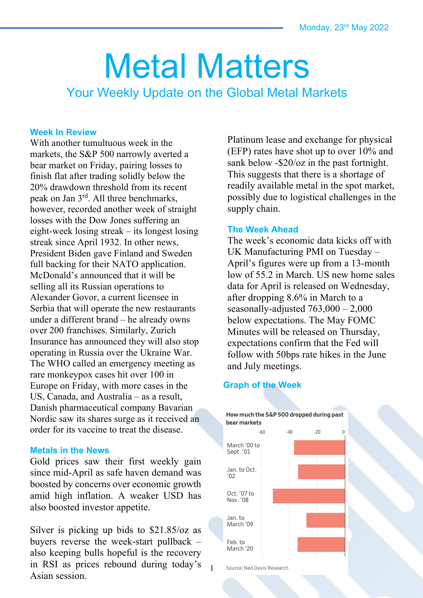# Metal Matters

Your Weekly Update on the Global Metal Markets

#### **Week In Review**

With another tumultuous week in the markets, the S&P 500 narrowly averted a bear market on Friday, pairing losses to finish flat after trading solidly below the 20% drawdown threshold from its recent peak on Jan 3rd. All three benchmarks, however, recorded another week of straight losses with the Dow Jones suffering an eight-week losing streak – its longest losing streak since April 1932. In other news, President Biden gave Finland and Sweden full backing for their NATO application. McDonald's announced that it will be selling all its Russian operations to Alexander Govor, a current licensee in Serbia that will operate the new restaurants under a different brand – he already owns over 200 franchises. Similarly, Zurich Insurance has announced they will also stop operating in Russia over the Ukraine War. The WHO called an emergency meeting as rare monkeypox cases hit over 100 in Europe on Friday, with more cases in the US, Canada, and Australia – as a result, Danish pharmaceutical company Bavarian Nordic saw its shares surge as it received an order for its vaccine to treat the disease.

#### **Metals in the News**

Gold prices saw their first weekly gain since mid-April as safe haven demand was boosted by concerns over economic growth amid high inflation. A weaker USD has also boosted investor appetite.

Silver is picking up bids to \$21.85/oz as buyers reverse the week-start pullback – also keeping bulls hopeful is the recovery in RSI as prices rebound during today's Asian session.

Platinum lease and exchange for physical (EFP) rates have shot up to over 10% and sank below -\$20/oz in the past fortnight. This suggests that there is a shortage of readily available metal in the spot market, possibly due to logistical challenges in the supply chain.

#### **The Week Ahead**

The week's economic data kicks off with UK Manufacturing PMI on Tuesday – April's figures were up from a 13-month low of 55.2 in March. US new home sales data for April is released on Wednesday, after dropping 8.6% in March to a seasonally-adjusted  $763,000 - 2,000$ below expectations. The May FOMC Minutes will be released on Thursday, expectations confirm that the Fed will follow with 50bps rate hikes in the June and July meetings.

## **Graph of the Week**



Source: Ned Davis Research

1